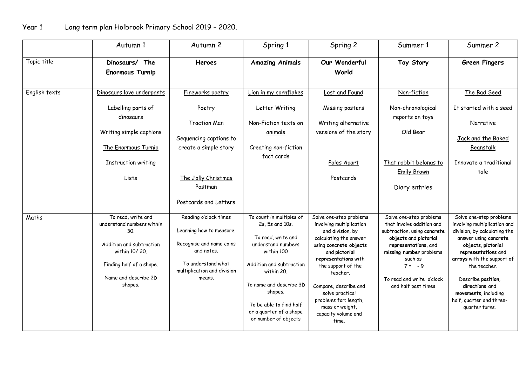|               | Autumn 1                                                                                                                                                           | Autumn 2                                                                                                                                                                            | Spring 1                                                                                                                                                                                                                                                            | Spring 2                                                                                                                                                                                                                                                                                                                       | Summer 1                                                                                                                                                                                                                                   | Summer 2                                                                                                                                                                                                                                                                                                                  |
|---------------|--------------------------------------------------------------------------------------------------------------------------------------------------------------------|-------------------------------------------------------------------------------------------------------------------------------------------------------------------------------------|---------------------------------------------------------------------------------------------------------------------------------------------------------------------------------------------------------------------------------------------------------------------|--------------------------------------------------------------------------------------------------------------------------------------------------------------------------------------------------------------------------------------------------------------------------------------------------------------------------------|--------------------------------------------------------------------------------------------------------------------------------------------------------------------------------------------------------------------------------------------|---------------------------------------------------------------------------------------------------------------------------------------------------------------------------------------------------------------------------------------------------------------------------------------------------------------------------|
| Topic title   | Dinosaurs/ The<br><b>Enormous Turnip</b>                                                                                                                           | <b>Heroes</b>                                                                                                                                                                       | <b>Amazing Animals</b>                                                                                                                                                                                                                                              | Our Wonderful<br>World                                                                                                                                                                                                                                                                                                         | Toy Story                                                                                                                                                                                                                                  | <b>Green Fingers</b>                                                                                                                                                                                                                                                                                                      |
| English texts | Dinosaurs love underpants<br>Labelling parts of<br>dinosaurs<br>Writing simple captions<br>The Enormous Turnip<br>Instruction writing<br>Lists                     | Fireworks poetry<br>Poetry<br><b>Traction Man</b><br>Sequencing captions to<br>create a simple story<br>The Jolly Christmas<br>Postman                                              | Lion in my cornflakes<br>Letter Writing<br>Non-Fiction texts on<br>animals<br>Creating non-fiction<br>fact cards                                                                                                                                                    | Lost and Found<br>Missing posters<br>Writing alternative<br>versions of the story<br>Poles Apart<br>Postcards                                                                                                                                                                                                                  | Non-fiction<br>Non-chronological<br>reports on toys<br>Old Bear<br>That rabbit belongs to<br><b>Emily Brown</b><br>Diary entries                                                                                                           | The Bad Seed<br>It started with a seed<br>Narrative<br>Jack and the Baked<br>Beanstalk<br>Innovate a traditional<br>tale                                                                                                                                                                                                  |
| Maths         | To read, write and<br>understand numbers within<br>30.<br>Addition and subtraction<br>within 10/20.<br>Finding half of a shape.<br>Name and describe 2D<br>shapes. | Postcards and Letters<br>Reading o'clock times<br>Learning how to measure.<br>Recognise and name coins<br>and notes.<br>To understand what<br>multiplication and division<br>means. | To count in multiples of<br>2s, 5s and 10s.<br>To read, write and<br>understand numbers<br>within 100<br>Addition and subtraction<br>within 20.<br>To name and describe 3D<br>shapes.<br>To be able to find half<br>or a quarter of a shape<br>or number of objects | Solve one-step problems<br>involving multiplication<br>and division, by<br>calculating the answer<br>using concrete objects<br>and pictorial<br>representations with<br>the support of the<br>teacher.<br>Compare, describe and<br>solve practical<br>problems for: length,<br>mass or weight,<br>capacity volume and<br>time. | Solve one-step problems<br>that involve addition and<br>subtraction, using concrete<br>objects and pictorial<br>representations, and<br>missing number problems<br>such as<br>$7 = -9$<br>To read and write o'clock<br>and half past times | Solve one-step problems<br>involving multiplication and<br>division, by calculating the<br>answer using concrete<br>objects, pictorial<br>representations and<br>arrays with the support of<br>the teacher.<br>Describe position,<br>directions and<br>movements, including<br>half, quarter and three-<br>quarter turns. |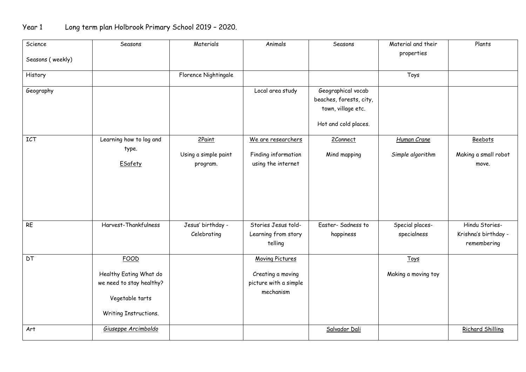## Year 1 Long term plan Holbrook Primary School 2019 – 2020.

| Science          | Seasons                  | Materials            | Animals                | Seasons                 | Material and their  | Plants               |
|------------------|--------------------------|----------------------|------------------------|-------------------------|---------------------|----------------------|
| Seasons (weekly) |                          |                      |                        |                         | properties          |                      |
|                  |                          |                      |                        |                         |                     |                      |
| History          |                          | Florence Nightingale |                        |                         | Toys                |                      |
| Geography        |                          |                      | Local area study       | Geographical vocab      |                     |                      |
|                  |                          |                      |                        | beaches, forests, city, |                     |                      |
|                  |                          |                      |                        | town, village etc.      |                     |                      |
|                  |                          |                      |                        | Hot and cold places.    |                     |                      |
| <b>ICT</b>       | Learning how to log and  | 2Paint               | We are researchers     | 2Connect                | Human Crane         | Beebots              |
|                  | type.                    | Using a simple paint | Finding information    | Mind mapping            | Simple algorithm    | Making a small robot |
|                  | ESafety                  | program.             | using the internet     |                         |                     | move.                |
|                  |                          |                      |                        |                         |                     |                      |
|                  |                          |                      |                        |                         |                     |                      |
|                  |                          |                      |                        |                         |                     |                      |
|                  |                          |                      |                        |                         |                     |                      |
| <b>RE</b>        | Harvest-Thankfulness     | Jesus' birthday -    | Stories Jesus told-    | Easter-Sadness to       | Special places-     | Hindu Stories-       |
|                  |                          | Celebrating          | Learning from story    | happiness               | specialness         | Krishna's birthday - |
|                  |                          |                      | telling                |                         |                     | remembering          |
| <b>DT</b>        | <b>FOOD</b>              |                      | <b>Moving Pictures</b> |                         | Toys                |                      |
|                  | Healthy Eating What do   |                      | Creating a moving      |                         | Making a moving toy |                      |
|                  | we need to stay healthy? |                      | picture with a simple  |                         |                     |                      |
|                  |                          |                      | mechanism              |                         |                     |                      |
|                  | Vegetable tarts          |                      |                        |                         |                     |                      |
|                  | Writing Instructions.    |                      |                        |                         |                     |                      |
| Art              | Giuseppe Arcimboldo      |                      |                        | Salvador Dali           |                     | Richard Shilling     |
|                  |                          |                      |                        |                         |                     |                      |